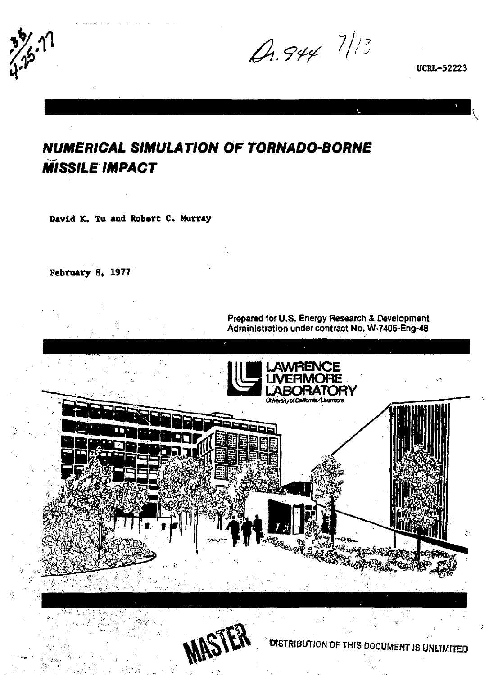A.944 7/13

**UCRL-52223** 

# *NUMERICAL SIMULATION OF TORNADO-BORNE MISSILE IMPACT*

**David K. Tu and Robart C. Hurray** 

**February 8, 1977** 

**Prepared for U.S. Energy Research & Development Administration under contract No, W-7405-Eng-48** 

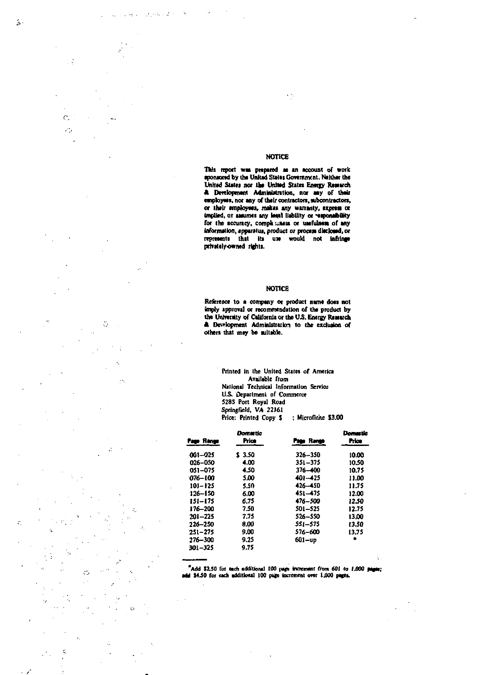#### **NOTICE**

 $\epsilon$   $\gamma$ 

 $\hat{\mathbf{v}}$ 

 $22.94 - 2$ 

This report was prepared as an account of work<br>sponsored by the United States Government. Neither the<br>United States nor the United States Energy Research<br>& Development Administration, nor any of their employees, nor any of their contractors, subcontractors, **or their employees, makes any warranty, express or implied, or assumes any lead liability or ~seponsibility** for the accuracy, completioners or usefulness of any **information, apparatus, product or process disclosed, or reprcstnti that Its use would not infringe privately-owned rights.** 

#### **NOTICE**

**Reference to a company ot product name does not imply approval or recommendation of the product by the University of California or the US. Energy Research Jb l>wtoprnent Administration to the exclusion of others that may be suitable.** 

> **Printed in the United States of America Available from National Technical Information Servfcu U.S. Department of Commerce 5285 Port Royal Road Springfield, VA 22)61 Price: Printed Copy S ; Microfiche S3.00**

| Page Range  | Dometic<br>Price | Page Hange  | Domastic<br>Price |  |
|-------------|------------------|-------------|-------------------|--|
|             |                  |             |                   |  |
| 061--025    | \$ 3.50          | 326-350     | 10.00             |  |
| 026-050     | 4.00             | $351 - 375$ | 10.50             |  |
| 051-075     | 4.50             | 376-400     | 10.75             |  |
| $076 - 100$ | 5.00             | 401-425     | 11.00             |  |
| $101 - 125$ | 5.50             | 426-450     | 11.75             |  |
| $126 - 150$ | 6.00             | 451-475     | 12.00             |  |
| 151–175     | 6.75             | 476-500     | 12.50             |  |
| 176–200     | 7.50             | 501-525     | 12.75             |  |
| $201 - 225$ | 7.75             | 526-550     | 13.00             |  |
| 226-250     | 8.00             | 551–575     | 13.50             |  |
| $251 - 275$ | 9.00             | 576-600     | 13.75             |  |
| 276-300     | 9.25             | 601-up      |                   |  |
| 301-325     | 9.75             |             |                   |  |
|             |                  |             |                   |  |

\*Add \$2.50 for each additional 100 pags increment from 601 to 1,000 pages;<br>add \$4.50 for each additional 100 pags increment o<del>re</del>r 1,000 pages.

 $\mathbb{R}^2$ 

ż

ź.

÷

 $\mathcal{C}$ . V.

ö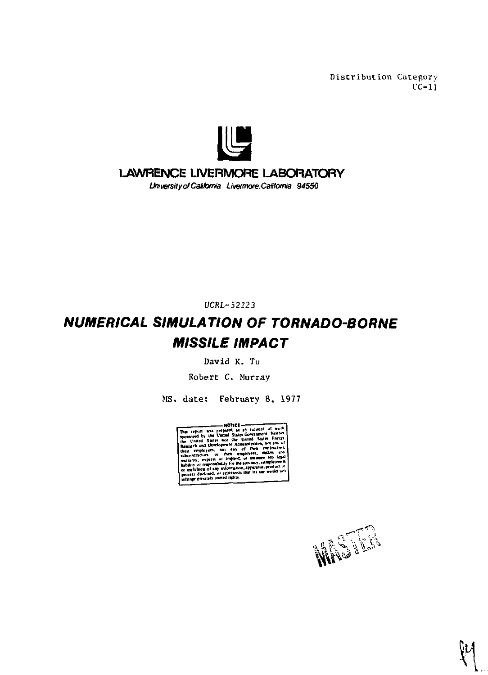Distribution Category  $\overline{c}$ -11



# **LAWRENCE LIVERMORE LABORATORY**

University of California Livermore, California 94550

UCRL-52223

# *NUMERICAL SIMULATION OF TORNADO-BORNE MISSILE IMPACT*

David K. Tu

Robert C. Murray

MS. date: February 8, 1977



MAGES

**\*t**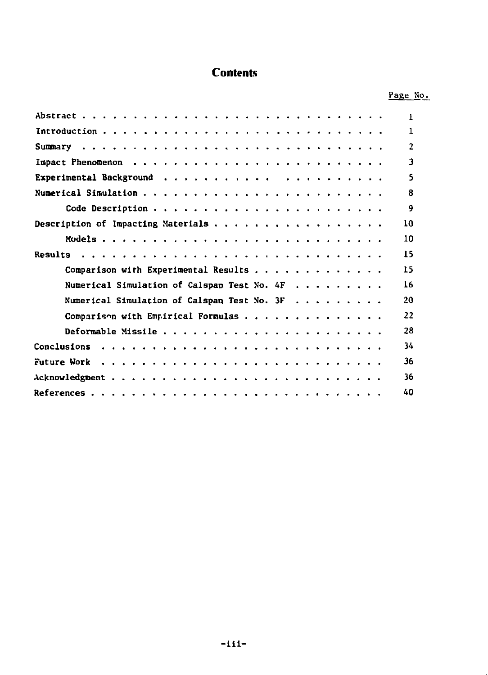# **Contents**

|                                               | Page No. |
|-----------------------------------------------|----------|
|                                               | Ŧ.       |
|                                               | 1        |
|                                               | 2        |
|                                               | 3        |
|                                               | 5        |
|                                               | 8        |
|                                               | 9        |
|                                               | 10       |
|                                               | 10       |
|                                               | 15       |
| Comparison with Experimental Results          | 15       |
| Numerical Simulation of Calspan Test No. $4F$ | 16       |
| Numerical Simulation of Calspan Test No. 3F   | 20       |
| Comparison with Empirical Formulas            | 22       |
|                                               | 28       |
| Conclusions                                   | 34       |
| Future Work                                   | 36       |
|                                               | 36       |
|                                               | 40       |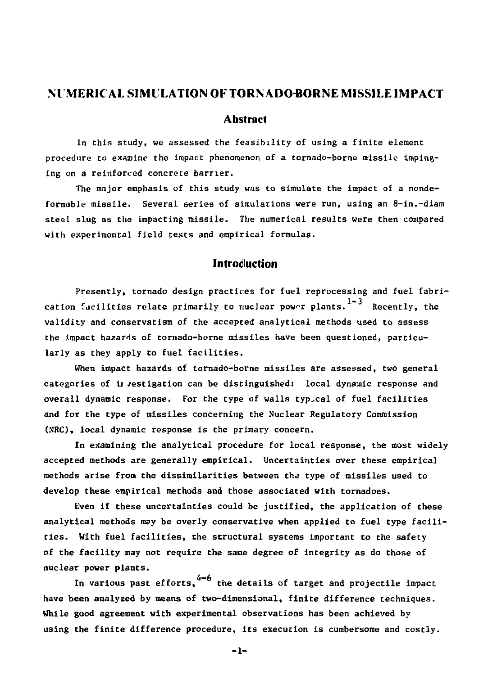#### **NUMERICAL SIMULATION OF TORNADO-BORNE MISSILE IMPACT**

#### **Abstract**

**In this study, we assessed the feasibility of using a finite element procedure to examine the impact phenomenon of a tornado-borne missile impinging on a reinforced concrete barrier.** 

**The major emphasis of this study was to simulate the impact of a nondeformable missile. Several series of simulations were run, using an 8-in.-diam steel slug as the impacting missile. The numerical results were then compared with experimental field tests and empirical formulas.** 

#### **Introduction**

**Presently, tornado design practices for fuel reprocessing and fuel fabrication facilities relate primarily to nuclear power plants.** 1-3 Recently, the **validity and conservatism of the accepted analytical methods used to assess the impact hazards of tornado-borne missiles have been questioned, particularly as they apply to fuel facilities.** 

**When impact hazards of tornado-borne missiles are assessed, two general**  categories of in *jestigation can be distinguished:* local dynamic response and **overall dynamic response. For the type of walls typical of fuel facilities and for the type of missiles concerning the Nuclear Regulatory Commission (NRC), local dynamic response is the primary concern.** 

**In examining the analytical procedure for local response, the most widely accepted methods are generally empirical. Uncertainties over these empirical methods arise from the dissimilarities between the type of missiles used to develop these empirical methods and those associated with tornadoes.** 

**Even if these uncertainties could be justified, the application of these analytical methods may be overly conservative when applied to fuel type facilities. With fuel facilities, the structural systems important to the safety of the facility may not require the same degree of integrity as do those of nuclear power plants.** 

In various past efforts, <sup>4-6</sup> the details of target and projectile impact **have been analyzed by means of two-dimensional, finite difference techniques. While good agreement with experimental observations has been achieved by using the finite difference procedure, its execution is cumbersome and costly.** 

**-1-**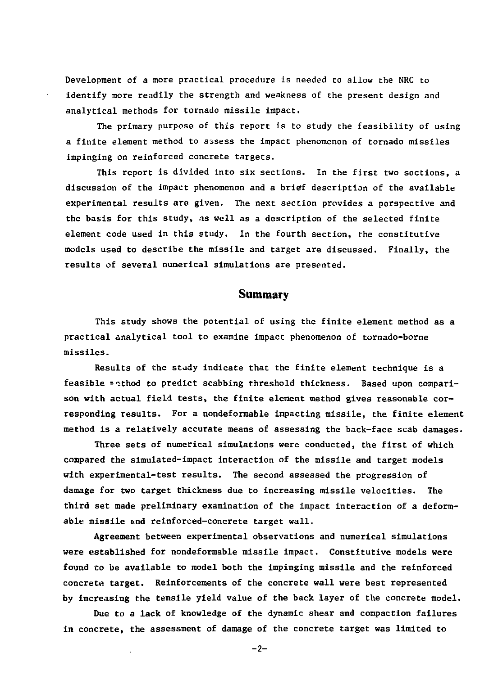Development of a more practical procedure is needed to allow the NRC to identify more readily the strength and weakness of the present design and analytical methods for tornado missile impact.

The primary purpose of this report is to study the feasibility of using a finite element method to assess the impact phenomenon of tornado missiles impinging on reinforced concrete targets.

This report is divided into six sections. In the first two sections, a discussion of the impact phenomenon and a brief description of the available experimental results are given. The next section provides a perspective and the basis for this study, as well as a description of the selected finite element code used in this study. In the fourth section, the constitutive models used to describe the missile and target are discussed. Finally, the results of several numerical simulations are presented.

### **Summary**

This study shows the potential of using the finite element method as a practical analytical tool to examine impact phenomenon of tornado-borne missiles.

Results of the study indicate that the finite element technique is a feasible "•sthod to predict scabbing threshold thickness. Based upon comparison with actual field tests, the finite element method gives reasonable corresponding results. For a nondeformable impacting missile, the finite element method is a relatively accurate means of assessing the back-face scab damages.

Three sets of numerical simulations were conducted, the first of which compared the simulated-impact interaction of the missile and target models with experimental-test results. The second assessed the progression of damage for two target thickness due to increasing missile velocities. The third set made preliminary examination of the impact interaction of a deformable missile and reinforced-concrete target wall.

Agreement between experimental observations and numerical simulations were established for nondeformable missile impact. Constitutive models were found to be available to model both the impinging missile and the reinforced concrete target. Reinforcements of the concrete wall were best represented by increasing the tensile yield value of the back layer of the concrete model.

Due to a lack of knowledge of the dynamic shear and compaction failures in concrete, the assessment of damage of the concrete target was limited to

 $-2-$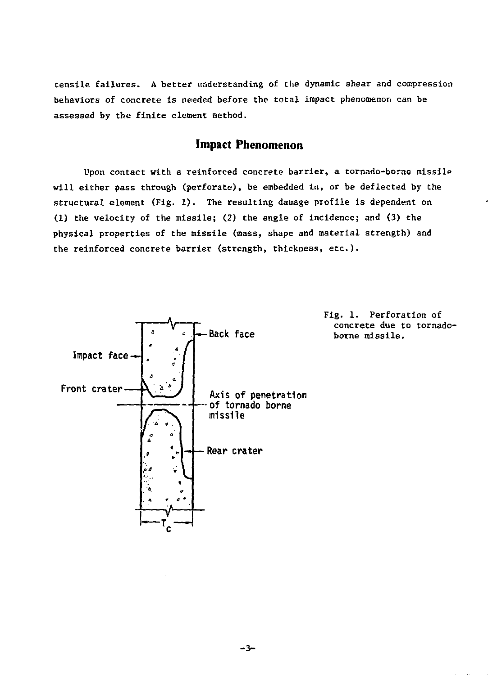tensile failures. A better understanding of the dynamic shear and compression behaviors of concrete is needed before the total impact phenomenon can be assessed by the finite element method.

# **Impact Phenomenon**

Upon contact with a reinforced concrete barrier, a tornado-borne missile will either pass through (perforate), be embedded ia, or be deflected by the structural element (Fig. 1). The resulting damage profile is dependent on (1) the velocity of the missile; (2) the angle of incidence; and (3) the physical properties of the missile (mass, shape and material strength) and the reinforced concrete barrier (strength, thickness, etc.).



Fig. 1. Perforation of concrete due to tornadoborne missile.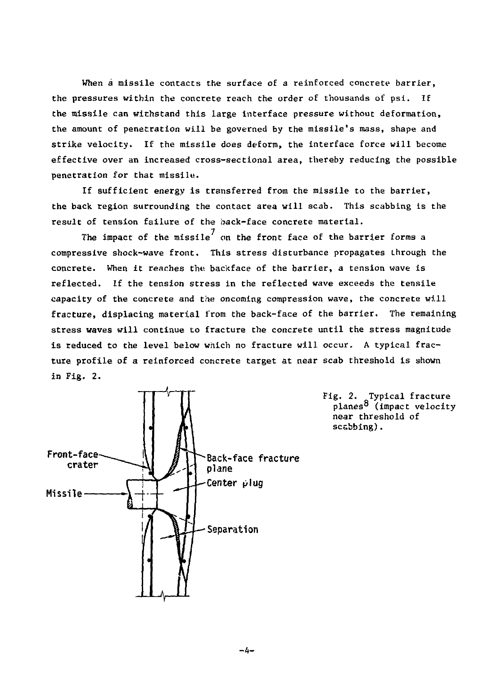When a missile contacts the surface of a reinforced concrete barrier. the pressures within the concrete reach the order of thousands of psi. If the missile can withstand this large interface pressure without deformation, the amount of penetration will be governed by the missile's mass, shape and strike velocity. If the missile does deform, the interface force will become effective over an increased cross-sectional area, thereby reducing the possible penetration for that missile.

If sufficient energy is transferred from the missile to the barrier, the back region surrounding the contact area will scab. This scabbing is the result of tension failure of the back-face concrete material.

The impact of the missile $^7$  on the front face of the barrier forms a compressive shock-wave front. This stress disturbance propagates through the concrete. When it reaches the bacicface of the barrier, a tension wave is reflected. If the tension stress in the reflected wave exceeds the tensile capacity of the concrete and the oncoming compression wave, the concrete will fracture, displacing material from the back-face of the barrier. The remaining stress waves will continue to fracture the concrete until the stress magnitude is reduced to the level below which no fracture will occur. A typical fracture profile of a reinforced concrete target at near scab threshold is shown in Fig. 2.



Fig. 2. Typical fracture planes<sup>8</sup> (impact velocity near threshold of scabbing).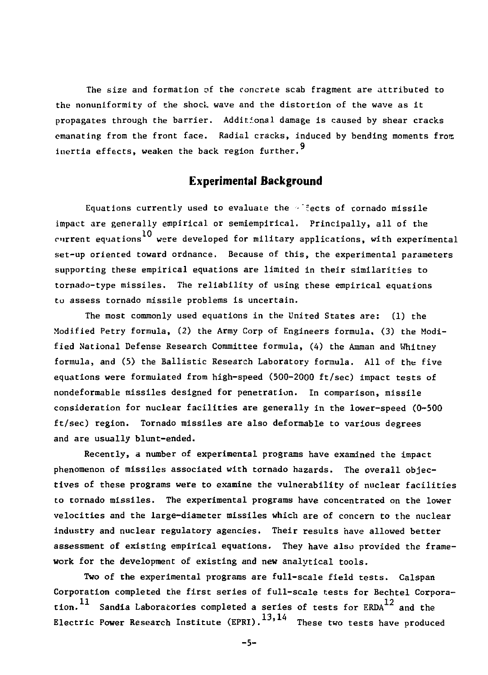The size and formation of the concrete scab fragment are attributed to the nonuniformity of the shock wave and the distortion of the wave as it propagates through the barrier. Additional damage is caused by shear cracks emanating from the front face. Radial cracks, induced by bending moments from inertia effects, weaken the back region further. $^9$ 

#### **Experimental Background**

Equations currently used to evaluate the  $\sim$  fects of tornado missile impact are generally empirical or semiempirical. Principally, all of the current equations<sup>10</sup> were developed for military applications, with experimental set-up oriented toward ordnance. Because of this, the experimental parameters supporting these empirical equations are limited in their similarities to tornado-type missiles. The reliability of using these empirical equations to assess tornado missile problems is uncertain.

The most commonly used equations in the United States are: (1) the Modified Petry formula, (2) the Army Corp of Engineers formula, (3) the Modified National Defense Research Committee formula, (4) the Amman and Whitney formula, and (5) the Ballistic Research Laboratory formula. All of the five equations were formulated from high-speed (500-2000 ft/sec) impact tests of nondeformable missiles designed for penetration. In comparison, missile consideration for nuclear facilities are generally in the lower-speed (0-500 ft/sec) region. Tornado missiles are also deformable to various degrees and are usually blunt-ended.

Recently, a number of experimental programs have examined the impact phenomenon of missiles associated with tornado hazards. The overall objectives of these programs were to examine the vulnerability of nuclear facilities to tornado missiles. The experimental programs have concentrated on the lower velocities and the large-diameter missiles which are of concern to the nuclear industry and nuclear regulatory agencies. Their results have allowed better assessment of existing empirical equations. They have also provided the framework for the development of existing and new analytical tools.

Two of the experimental programs are full-scale field tests. Calspan Corporation completed the first series of full-scale tests for Bechtel Corporation.<sup>11</sup> Sandia Laboratories completed a series of tests for ERDA<sup>12</sup> and the Electric Power Research Institute  $(EPRI)$ .  $^{13,14}$  These two tests have produced

 $-5-$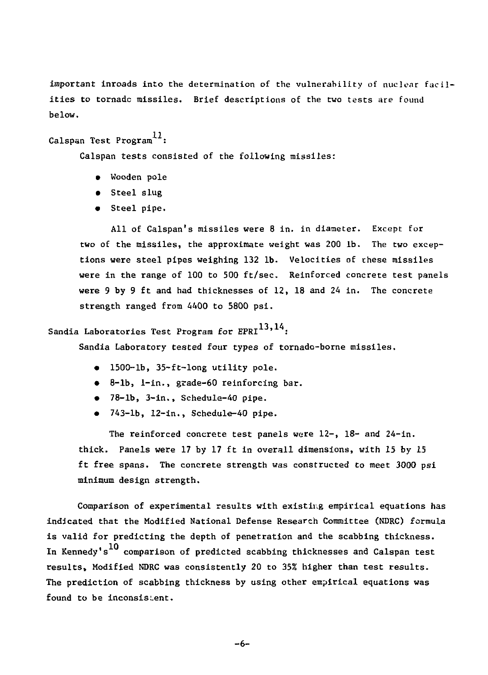important inroads into the determination of the vulnerability of nuclear facilities to tornado missiles. Brief descriptions of the two tests are found below.

# Calspan Test Program $^{11}$ :

Calspan tests consisted of the following missiles:

- Wooden pole
- Steel slug
- Steel pipe.

All of Calspan's missiles were 8 in. in diameter. Except for two of the missiles, the approximate weight was 200 lb. The two exceptions were steel pipes weighing 132 lb. Velocities of chese missiles were in the range of 100 to 500 ft/sec. Reinforced concrete test panels were 9 by 9 ft and had thicknesses of 12, 18 and 24 in. The concrete strength ranged from 4400 to 5800 psi.

# Sandia Laboratories Test Program for  $EPRI$ <sup>13,14</sup>:

Sandia Laboratory tested four types of tornado-borne missiles.

- 1500-lb, 35-ft-long utility pole.
- 8-lb, 1-in., grade-60 reinforcing bar.
- 78-lb, 3-in., Schedule-40 pipe.
- 743-lb, 12-in., Schedule-40 pipe.

The reinforced concrete test panels were 12-, 18- and 24-in. thick. Panels were 17 by 17 ft in overall dimensions, with 15 by 15 ft free spans. The concrete strength was constructed to meet 3000 psi minimum design strength.

Comparison of experimental results with existing empirical equations has indicated that the Modified National Defense Research Committee (NDRC) formula is valid for predicting the depth of penetration and the scabbing thickness. In Kennedy's  $^{10}$  comparison of predicted scabbing thicknesses and Calspan test results, Modified NDRC was consistently 20 to 35% higher than test results. The prediction of scabbing thickness by using other empirical equations was found to be inconsistent.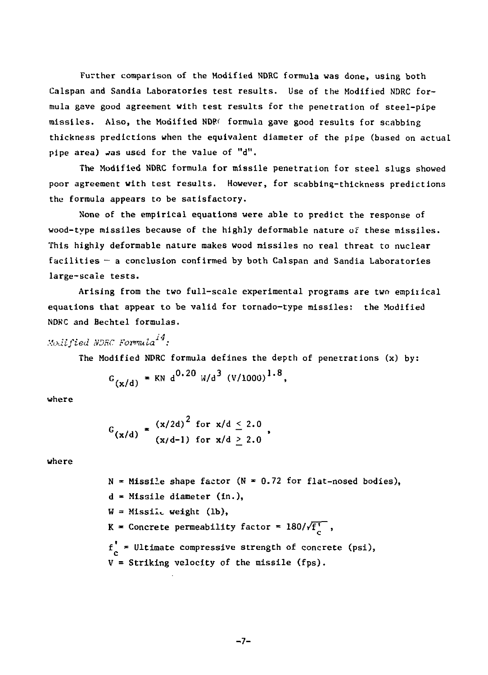Further comparison of the Modified NDRC formula was done, using both Calspan and Sandia Laboratories test results. Use of the Modified NDRC formula gave good agreement with test results for the penetration of steel-pipe missiles. Also, the Modified NDP< formula gave good results for scabbing thickness predictions when the equivalent diameter of the pipe (based on actual pipe area) was used for the value of "d".

The Modified NDRC formula for missile penetration for steel slugs showed poor agreement with test results. However, for scabbing-thickness predictions the formula appears to be satisfactory.

None of the empirical equations were able to predict the response of wood-type missiles because of the highly deformable nature of these missiles. This highly deformable nature makes wood missiles no real threat to nuclear facilities — a conclusion confirmed by both Calspan and Sandia Laboratories large-scale tests.

Arising from the two full-scale experimental programs are two empirical equations that appear to be valid for tornado-type missiles: the Modified NDKC and Bechtel formulas.

*Modified NDRC Formula*<sup>14</sup>.

The Modified NDRC formula defines the depth of penetrations (x) by:

$$
G_{(x/d)} = KN d^{0.20} W/d^3 (V/1000)^{1.8}
$$
,

where

$$
G_{(x/d)} = \frac{(x/2d)^2 \text{ for } x/d \leq 2.0}{(x/d-1) \text{ for } x/d \geq 2.0}
$$

where

 $N = Missi!$ e shape factor (N = 0.72 for flat-nosed bodies), d - Missile diameter (in.), W = Missile weight (lb), K = Concrete permeability factor =  $180/\sqrt{f_0^+}$ , c  $f^{\prime}_{\alpha}$  = Ultimate compressive strength of concrete (psi),  $V =$  Striking velocity of the missile (fps).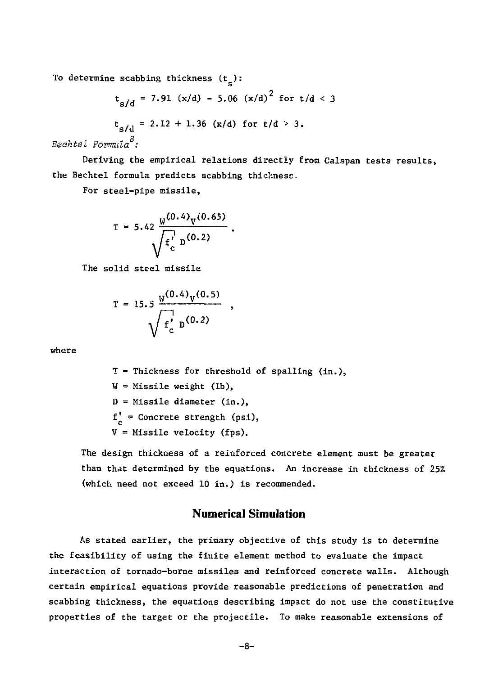To determine scabbing thickness  $(t_{e})$ :

$$
t_{s/d} = 7.91 (x/d) - 5.06 (x/d)^{2} for t/d < 3
$$
  

$$
t_{s/d} = 2.12 + 1.36 (x/d) for t/d > 3.
$$

*Beohtel Formula :* 

Deriving the empirical relations directly from Calspan tests results, the Bechtel formula predicts scabbing thickness.

For steel-pipe missile,

$$
T = 5.42 \frac{W^{(0.4)}V^{(0.65)}}{\sqrt{f_c^{\prime}} D^{(0.2)}}.
$$

The solid steel missile

$$
T = 15.5 \frac{W^{(0.4)}V^{(0.5)}}{\sqrt{f_c^{\prime}} p^{(0.2)}}
$$

where

T = Thickness for threshold of spalling (in.),  $W = Missile weight (lb),$ D = Missile diameter (in.),  $f'_c$  = Concrete strength (psi), V = Missile velocity (fps).

 $\bullet$ 

The design thickness of a reinforced concrete element must be greater than that determined by the equations. An increase in thickness of 25% (which need not exceed 10 in.) is recommended.

### **Numerical Simulation**

As stated earlier, the primary objective of this study is to determine the feasibility of using the finite element method to evaluate the impact interaction of tornado-borne missiles and reinforced concrete walls. Although certain empirical equations provide reasonable predictions of penetration and scabbing thickness, the equations describing impact do not use the constitutive properties of the target or the projectile. To make reasonable extensions of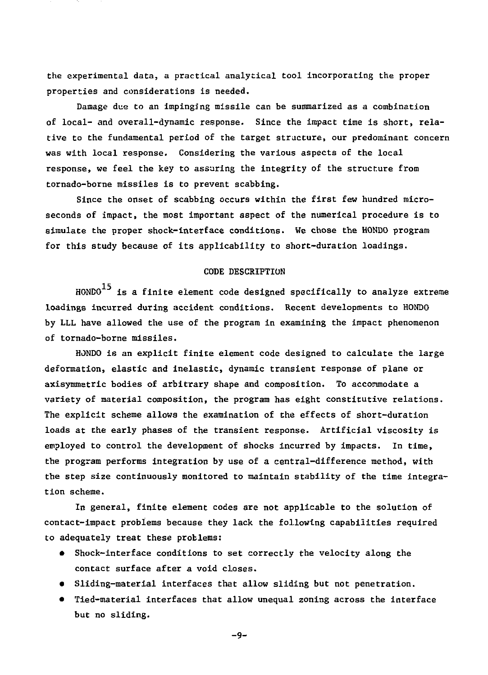the experimental data, a practical analytical tool incorporating the proper properties and considerations is needed.

Damage due to an impinging missile can be summarized as a combination of local- and overall-dynamic response. Since the impact time is short, relative to the fundamental period of the target structure, our predominant concern was with local response. Considering the various aspects of the local response, we feel the key to assuring the integrity of the structure from tornado-borne missiles is to prevent scabbing.

Since the onset of scabbing occurs within the first few hundred microseconds of impact, the most important aspect of the numerical procedure is to simulate the proper shock-interface conditions. We chose the HONDO program for this study because of Its applicability to short-duration loadings.

#### CODE DESCRIPTION

HONDO $^{15}$  is a finite element code designed specifically to analyze extreme loadings incurred during accident conditions. Recent developments to HONDO by LLL have allowed the use of the program in examining the impact phenomenon of tornado-borne missiles.

HONDO is an explicit finite element code designed to calculate the large deformation, elastic and inelastic, dynamic transient response of plane or axisymmetric bodies of arbitrary shape and composition. To accommodate a variety of material composition, the program has eight constitutive relations. The explicit scheme allows the examination of the effects of short-duration loads at the early phases of the transient response. Artificial viscosity is employed to control the development of shocks Incurred by impacts. In time, the program performs integration by use of a central-difference method, with the step size continuously monitored to maintain stability of the time integration scheme.

In general, finite element codes are not applicable to the solution of contact-impact problems because they lack the following capabilities required to adequately treat these problems:

- Shock-interface conditions to set correctly the velocity along the contact surface after a void closes.
- Sliding-material interfaces that allow sliding but not penetration.
- Tied-material interfaces that allow unequal zoning across the interface but no sliding.

-9-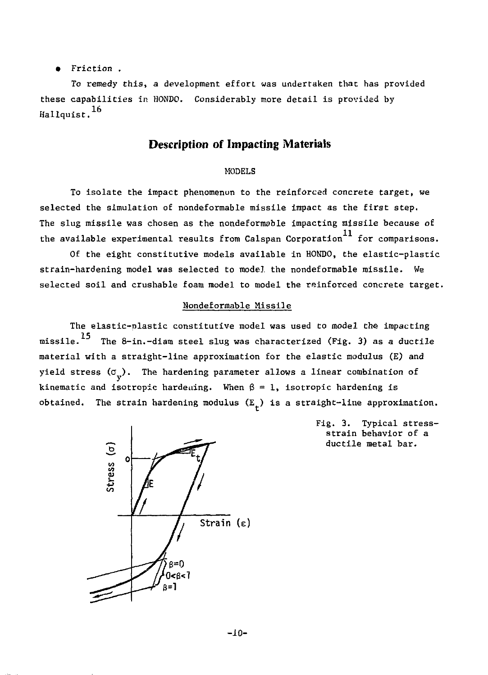• Friction .

To remedy this, a development effort was undertaken that has provided these capabilities in HONDO. Considerably more detail is provided by  $H$ allquist. $^{16}$ 

## **Description of Impacting Materials**

#### MODELS

To isolate the impact phenomenon to the reinforced concrete target, we selected the simulation of nondeformable missile impact as the first step. The slug missile was chosen as the nondeformable impacting missile because of the available experimental results from Calspan Corporation<sup>11</sup> for comparisons.

Of the eight constitutive models available in HONDO, the elastic-plastic strain-hardening model was selected to model the nondeformable missile. We selected soil and crushable foam model to model the reinforced concrete target.

#### Hondeformable Missile

The elastic-plastic constitutive model was used to model the impacting missile.  $^{15}$  The 8-in.-diam steel slug was characterized (Fig. 3) as a ductile material with a straight-line approximation for the elastic modulus (E) and yield stress ( $\sigma_{_{\rm v}}$ ). The hardening parameter allows a linear combination of kinematic and isotropic hardening. When  $\beta = 1$ , isotropic hardening is obtained. The strain hardening modulus  $(E_{\perp})$  is a straight-line approximation.



Fig. 3. Typical stressstrain behavior of a ductile metal bar.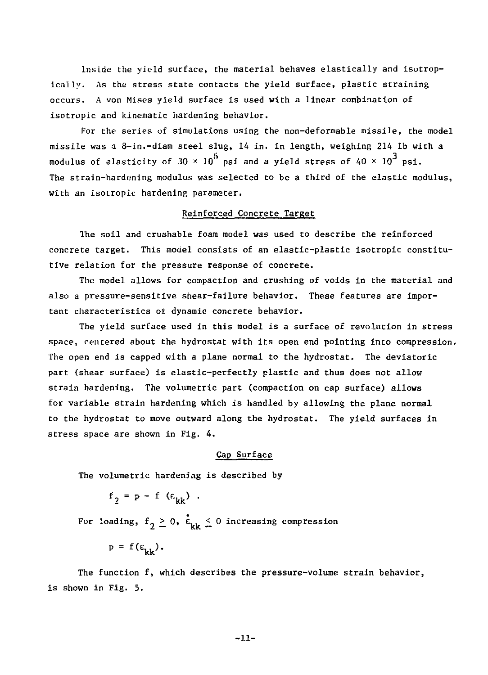Inside the yield surface, the material behaves elastically and isotropically. As the stress state contacts the yield surface, plastic straining occurs. A von Mises yield surface is used with a linear combination of isotropic and kinematic hardening behavior.

For the series of simulations using the non-deformable missile, the model missile was a 8-in.-diam steel slug, 14 in. in length, weighing 214 lb with a modulus of elasticity of  $30 \times 10^5$  psi and a yield stress of 40  $\times$  10<sup>3</sup> psi. The strain-hardening modulus was selected to be a third of the elastic modulus, with an isotropic hardening parameter.

#### Reinforced Concrete Target

The soil and crushable foam model was used to describe the reinforced concrete target. This model consists of an elastic-plastic isotropic constitutive relation for the pressure response of concrete.

The model allows for compaction and crushing of voids in the material and also a pressure-sensitive shear-failure behavior. These features are important characteristics of dynamic concrete behavior.

The yield surface used in this model is a surface of revolution in stress space, centered about the hydrostat with its open end pointing into compression. The open end is capped with a plane normal to the hydrostat. The deviatoric part (shear surface) is elastic-perfectly plastic and thus does not allow strain hardening. The volumetric part (compaction on cap surface) allows for variable strain hardening which is handled by allowing the plane normal to the hydrostat to move outward along the hydrostat. The yield surfaces in stress space are shown in Fig. 4.

#### Cap Surface

The volumetric hardening is described by

 $f_2 = p - f$  ( $\varepsilon_{kk}$ ).

For loading,  $f_2 \geq 0$ ,  $\dot{E}_{\text{thr}} \leq 0$  increasing compression

 $p = f(\epsilon_{k,k})$ .

The function f, which describes the pressure-volume strain behavior, is shown in Fig. 5.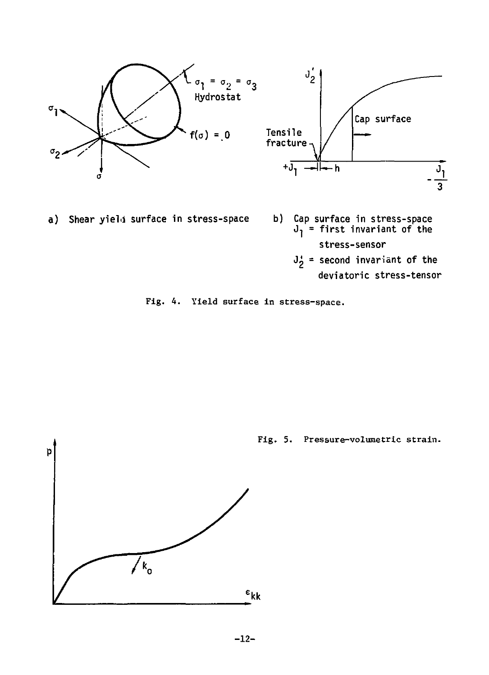

a) Shear yield surface in stress-space

- **b)** Cap surface in stress-space<br> $J_1$  = first invariant of the **stress-sensor** 
	- $J_2^*$  = second invariant of the
		- **deviatoric stress-tensor**



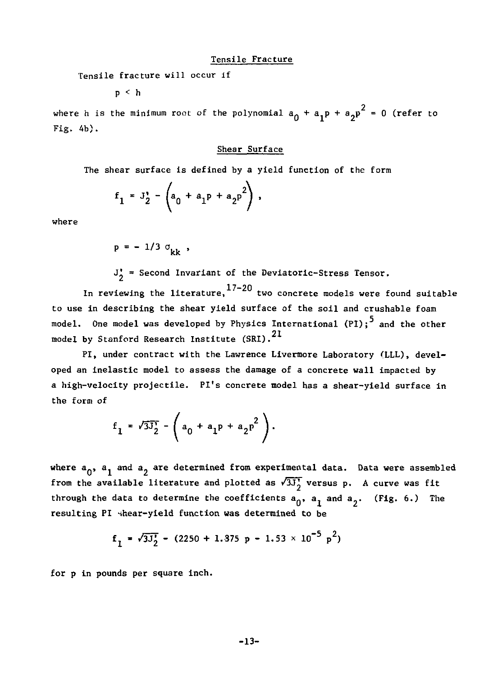#### Tensile Fracture

Tensile fracture will occur if

p < h

where h is the minimum root of the polynomial  $a_0 + a_1 p + a_2 p^2 = 0$  (refer to Fig. 4b).

#### Shear Surface

The shear surface is defined by a yield function of the form

$$
f_1 = J_2' - \left( a_0 + a_1 P + a_2 P^2 \right),
$$

where

$$
p = -1/3 \sigma_{kk}
$$

 $J'_{2}$  = Second Invariant of the Deviatoric-Stress Tensor.

In reviewing the literature, $^{17-20}$  two concrete models were found suitable to use in describing the shear yield surface of the soil and crushable foam model. One model was developed by Physics International (PI); and the other model by Stanford Research Institute (SRI). $^{21}$ 

PI, under contract with the Lawrence Livermore Laboratory (LLL), developed an inelastic model to assess the damage of a concrete wall impacted by a high-velocity projectile. Pi's concrete model has a shear-yield surface in the form of

$$
f_1 = \sqrt{3J_2} - (a_0 + a_1p + a_2p^2).
$$

where  $a_{0}$ ,  $a_{1}$  and  $a_{2}$  are determined from experimental data. Data were assembled from the available literature and plotted as  $\sqrt{3J_2}$  versus p. A curve was fit through the data to determine the coefficients  $a_0$ ,  $a_1$  and  $a_2$ . (Fig. 6.) The resulting PI shear-yield function was determined to be

$$
f_1 = \sqrt{3J_2'} - (2250 + 1.375 p - 1.53 \times 10^{-5} p^2)
$$

for p in pounds per square inch.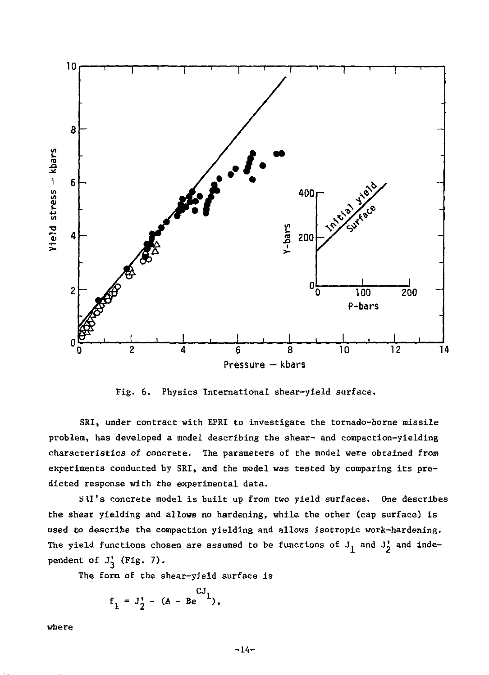

Fig. 6. Physics International shear-yield surface.

SRI, under contract with EPRI to investigate the tornado-borne missile problem, has developed a model describing the shear- and compaction-yielding characteristics of concrete. The parameters of the model were obtained from experiments conducted by SRI, and the model was tested by comparing its predicted response with the experimental data.

SlI's concrete model is built up from two yield surfaces. One describes the shear yielding and allows no hardening, while the other (cap surface) is used to describe the compaction yielding and allows isotropic work-hardening. The yield functions chosen are assumed to be functions of  $J_1$  and  $J_2'$  and independent of  $J'_{3}$  (Fig. 7).

The form of the shear-yield surface is

$$
f_1 = J_2' - (A - Be^{CJ_1}),
$$

where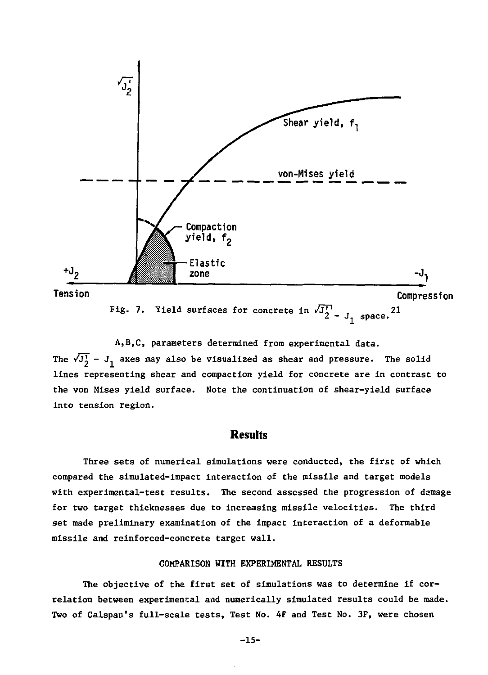

**The /j£ axes may also be visualized as shear and pressure. The solid A,B,C, parameters determined from experimental data, lines representing shear and compaction yield for concrete are in contrast to the von Mises yield surface. Note the continuation of shear-yield surface into tension region.** 

#### **Results**

**Three sets of numerical simulations were conducted, the first of which compared the simulated-impact interaction of the missile and target models with experimental-test results. The second assessed the progression of damage for two target thicknesses due to increasing missile velocities. The third set made preliminary examination of the impact interaction of a deformable missile and reinforced-concrete target wall.** 

#### **COMPARISON WITH EXPERIMENTAL RESULTS**

**The objective of the first set of simulations was to determine if correlation between experimental and numerically simulated results could be made. Two of Calspan's full-scale tests, Test No. 4F and Test No. 3F, were chosen** 

**-15-**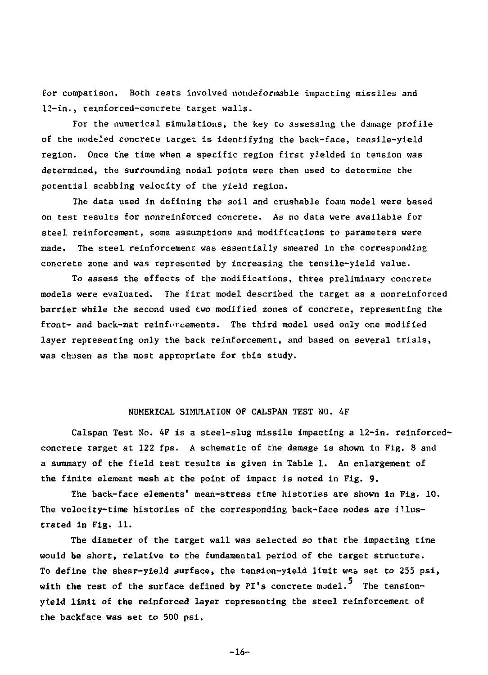for comparison. Both tests involved nondeformable impacting missiles and 12-in., reinforced-concrete target walls.

For the numerical simulations, the key to assessing the damage profile of the modeled concrete target is identifying the back-face, tensile-yield region. Once the time when a specific region first yielded in tension was determined, the surrounding nodal points were then used to determine the potential scabbing velocity of the yield region.

The data used in defining the soil and crushable foam model were based on test results for nonreinforced concrete. As no data were available for steel reinforcement, some assumptions and modifications to parameters were made. The steel reinforcement was essentially smeared in the corresponding concrete zone and was represented by increasing the tensile-yield value.

To assess the effects of the modifications, three preliminary concrete models were evaluated. The first model described the target as a nonreinforced barrier while the second used two modified zones of concrete, representing the front- and back-mat reinforcements. The third model used only one modified layer representing only the back reinforcement, and based on several trials, was chosen as the most appropriate for this study.

#### NUMERICAL SIMULATION OF CALSPAN TEST NO. 4F

Calspan Test No. 4F is a steel-slug missile impacting a 12-in. reinforcedconcrete target at 122 fps. A schematic of the damage is shown in Fig. 8 and a summary of the field test results is given in Table 1. An enlargement of the finite element mesh at the point of impact is noted in Fig. 9.

The back-face elements' mean-stress time histories are shown in Fig. 10. The velocity-time histories of the corresponding back-face nodes are illustrated in Fig. 11.

The diameter of the target wall was selected so that the impacting time would be short, relative to the fundamental period of the target structure. To define the shear-yield surface, the tension-yield limit *w.h* set *Co* 255 psi, with the rest of the surface defined by PI's concrete model.<sup>5</sup> The tensionyield limit of the reinforced layer representing the steel reinforcement of the backface was set to 500 psi.

-16-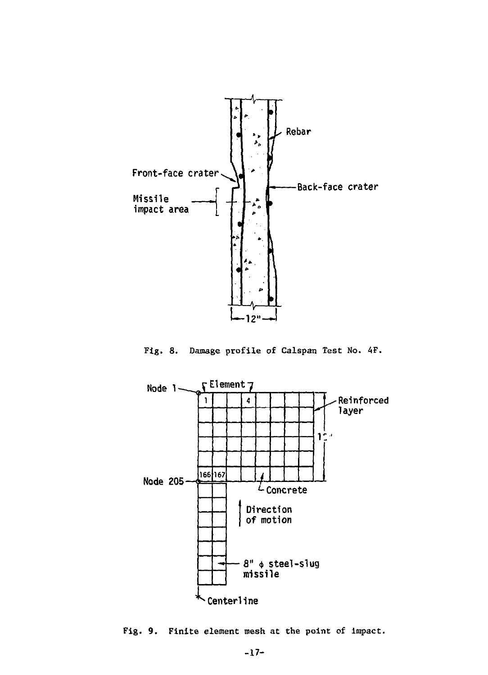

Fig. 8. Damage profile of Calspan Test No. 4F.



Fig. 9. Finite element mesh at the point of impact.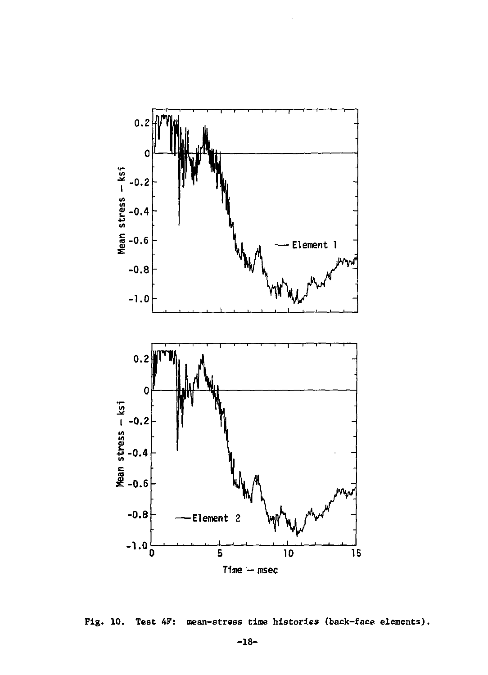

**Fig. 10. Test 4F: mean-stress time histories (back-face elements).**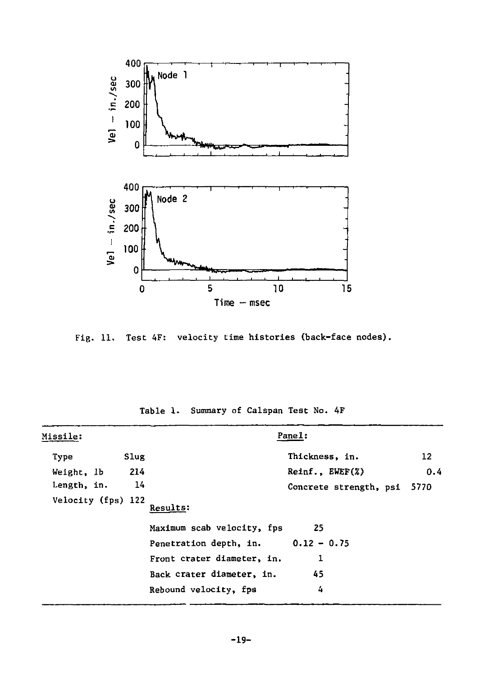

Fig. 11. Test 4F: velocity time histories (back-face nodes).

| Missile:           |      |                                      | Pane1:                      |     |
|--------------------|------|--------------------------------------|-----------------------------|-----|
| Type               | Slug |                                      | Thickness, in.              | 12  |
| Weight, 1b         | 214  |                                      | ReInf., EWEF(X)             | 0.4 |
| Length, in.        | 14   |                                      | Concrete strength, psi 5770 |     |
| Velocity (fps) 122 |      | Results:                             |                             |     |
|                    |      | Maximum scab velocity, fps           | 25                          |     |
|                    |      | Penetration depth, in. $0.12 - 0.75$ |                             |     |
|                    |      | Front crater diameter, in.           | 1                           |     |
|                    |      | Back crater diameter, in.            | 45                          |     |
|                    |      | Rebound velocity, fps                | 4                           |     |

Table 1. Summary of Calspan Test No. 4F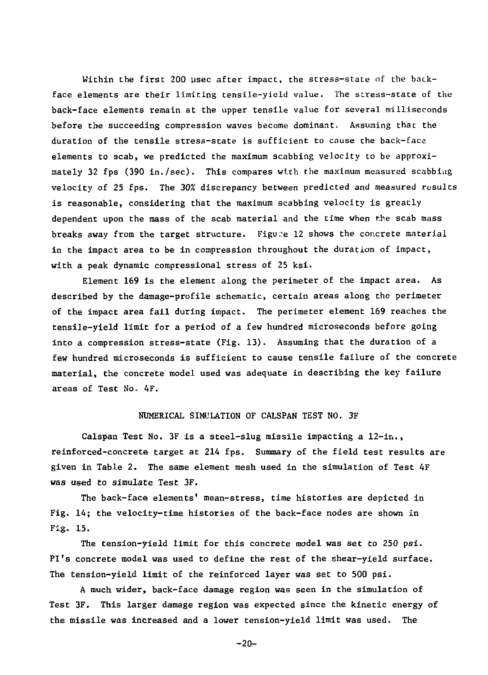Within the first 200 usec after impact, the stress-state of the backface elements are their limiting tensile-yield value. The stress-state of the back-face elements remain at the upper tensile value for several milliseconds before the succeeding compression waves become dominant. Assuming thac the duration of the tensile stress-state is sufficient to cause the back-face elements to scab, we predicted the maximum scabbing velocity to be approximately 32 fps (390 in./sec). This compares with the maximum measured scabbing velocity of 25 fps. The 30% discrepancy between predicted and measured results is reasonable, considering that the maximum scabbing velocity is greatly dependent upon the mass of the scab material and the time when the scab mass breaks away from the target structure. Figure 12 shows the concrete material in the impact area to be in compression throughout the duration of impact, with a peak dynamic compressional stress of 25 ksi.

Element 169 is the element along the perimeter of the impact area. As described by the damage-profile schematic, certain areas along the perimeter of the impact area fail during impact. The perimeter element 169 reaches the tensile-yield limit for a period of a few hundred microseconds before going into a compression stress-state (Fig. 13). Assuming that the duration of a few hundred microseconds is sufficient to cause tensile failure of the concrete material, the concrete model used was adequate in describing the key failure areas of Test No. 4F.

#### NUMERICAL SIMULATION OF CALSPAN TEST NO. 3F

Calspan Test No. 3F is a steel-slug missile impacting a 12-in., reinforced-concrete target at 214 fps. Summary of the field test results are given in Table 2. The same element mesh used in the simulation of Test 4F was used *to* simulate Test 3F.

The back-face elements' mean-stress, time histories are depicted in Fig. 14; the velocity-time histories of the back-face nodes are shown in Fig. 15.

The tension-yield limit for this concrete model was set to 250 psi. Pi's concrete model was used to define the rest of the shear-yield surface. The tension-yield limit of the reinforced layer was set to 500 psi.

A much wider, back-face damage region was seen in the simulation of Test 3F. This larger damage region was expected since the kinetic energy of the missile was increased and a lower tension-yield limit was used. The

-20-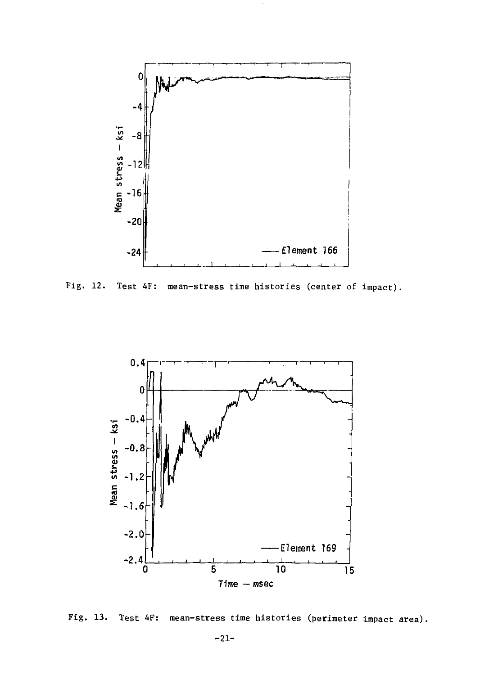

Fig. 12. Test 4F: mean-stress time histories (center of impact).



Fig. 13. Test 4F: mean-stress time histories (perimeter impact area).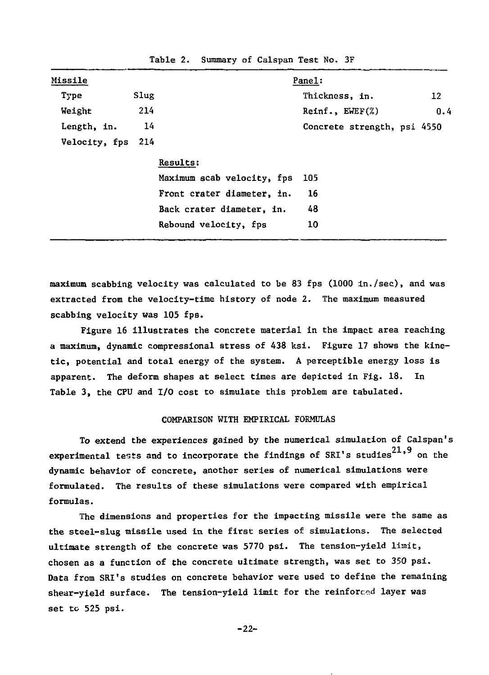| <b>Missile</b> |      |                            | Panel:                      |     |
|----------------|------|----------------------------|-----------------------------|-----|
| Type           | Slug |                            | Thickness, in.              | 12  |
| Weight         | 214  |                            | $Reinf.$ , $EWEF(\%)$       | 0.4 |
| Length, in.    | 14   |                            | Concrete strength, psi 4550 |     |
| Velocity, fps  | 214  |                            |                             |     |
|                |      | Results:                   |                             |     |
|                |      | Maximum scab velocity, fps | 105                         |     |
|                |      | Front crater diameter, in. | 16                          |     |
|                |      | Back crater diameter, in.  | 48                          |     |
|                |      | Rebound velocity, fps      | 10                          |     |

Table 2. Summary of Calspan Test No. 3F

maximum scabbing velocity was calculated to be 83 fps (1000 in./sec), and was extracted from the velocity-time history of node 2. The maximum measured scabbing velocity was 105 fps.

Figure 16 illustrates the concrete material in the impact area reaching a maximum, dynamic compressional stress of 438 ksi. Figure 17 shows the kinetic, potential and total energy of the system. A perceptible energy loss is apparent. The deform shapes at select times are depicted in Fig. 18. In Table 3, the CPU and I/O cost to simulate this problem are tabulated.

#### COMPARISON WITH EMPIRICAL FORMULAS

To extend the experiences gained by the numerical simulation of Calspan's experimental tests and to incorporate the findings of SRI's studies $^{21,9}$  on the dynamic behavior of concrete, another series of numerical simulations were formulated. The results of these simulations were compared with empirical formulas.

The dimensions and properties for the impacting missile were the same as the steel-slug missile used in the first series of simulations. The selected ultimate strength of the concrete was 5770 psi. The tension-yield limit, chosen as a function of the concrete ultimate strength, was set to 350 psi. Data from SRI's studies on concrete behavior were used to define the remaining shear-yield surface. The tension-yield limit for the reinforced layer was set to 525 psi.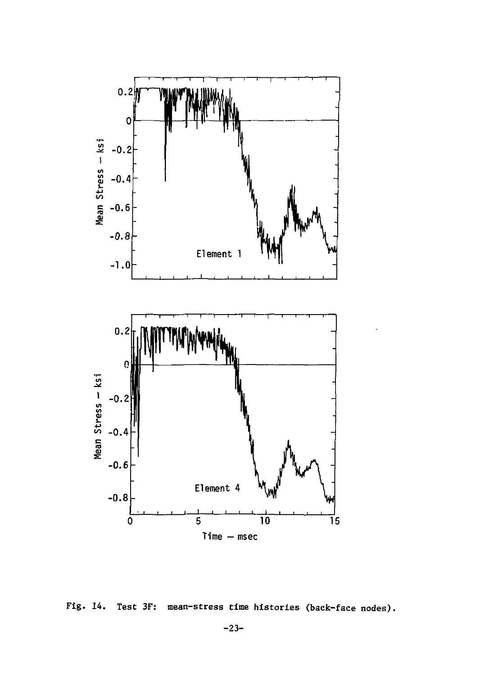

Fig. 14. Test 3F: mean-stress time histories (back-face nodes).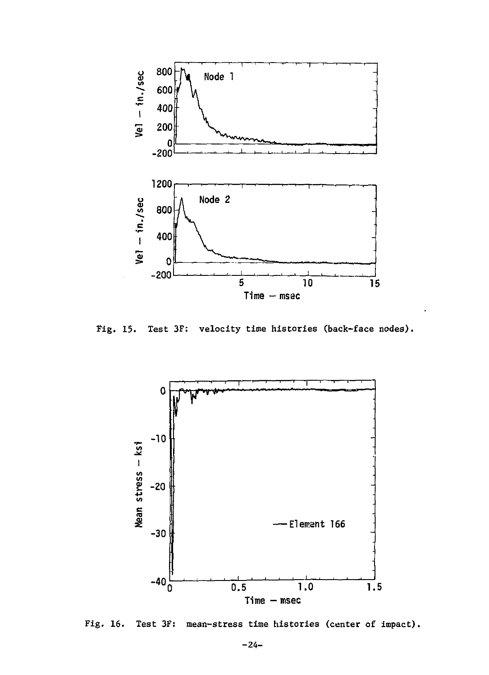

Fig. 15. Test 3F: velocity time histories (back-face nodes).



Fig. 16. Test 3F: mean-stress time histories (center of impact).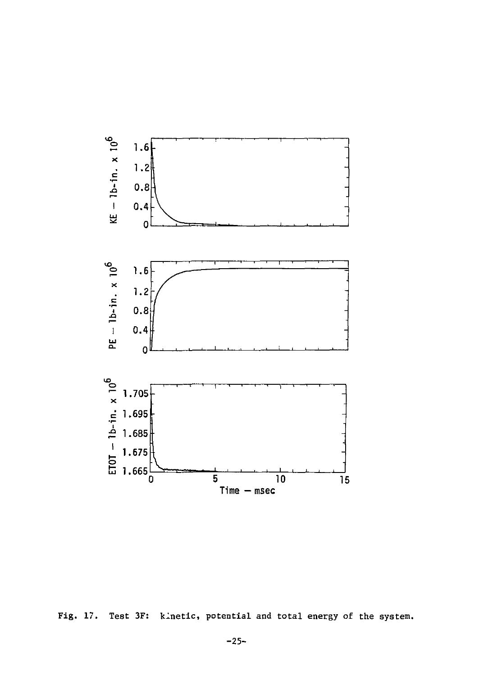

Fig. 17. Test 3F: kinetic, potential and total energy of the system.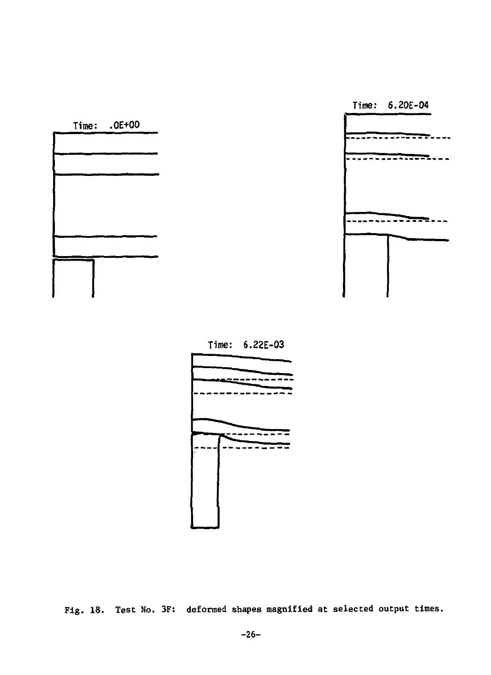

**Time: 6.22E-03** 

Time:  $.0E+00$ 



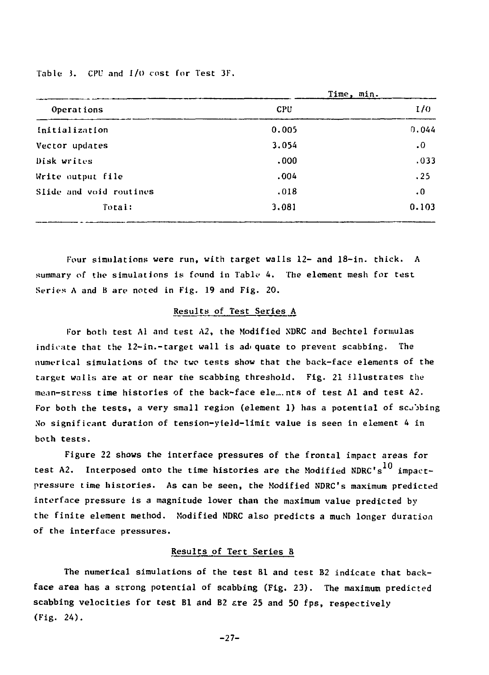Table 3. CPU and I/O cost for Test 3F.

|                         |       | Time, min. |
|-------------------------|-------|------------|
| Operations              | CPU   | 1/0        |
| Initialization          | 0.005 | 0.044      |
| Vector updates          | 3.054 | $\cdot$ 0  |
| Disk writes             | .000  | .033       |
| Write output file       | .004  | .25        |
| Slide and void routines | .018  | $\cdot$ 0  |
| Total:                  | 3.081 | 0.103      |

Four simulations were run, with target walls 12- and 18-in. thick. A summary of the simulations is found in Table 4. The element mesh for test Series A and B are noted in Fig. 19 and Fig. 20.

#### Results of Test Series A

For both test Al and test A2, the Modified NDRC and Bechtel formulas indicate that the 12-in.-target wall is adi quate to prevent scabbing. The numerical simulations of tho two tests show that the back-face elements of the target walls are at or near the scabbing threshold. Fig. 21 illustrates the mean-stross time histories of the back-face ele... nts of test Al and test A2. For both the tests, a very small region (element 1) has a potential of scjjbing No significant duration of tension-yield-limit value is seen in element 4 in both tests.

Figure 22 shows the interface pressures of the frontal impact areas for test A2. Interposed onto the time histories are the Modified NDRC's  $^{10}$  impactpressure time histories. As can be seen, the Modified NDRC's maximum predicted interface pressure is a magnitude lower than the maximum value predicted by the finite element method. Modified NDRC also predicts a much longer duration of the interface pressures.

#### Results of Tert Series B

The numerical simulations of the test Bl and test B2 indicate that backface area has a strong potential of scabbing (Fig. 23). The maximum predicted scabbing velocities for test Bl and B2 are 25 and 50 fps, respectively (Fig. 24).

-27-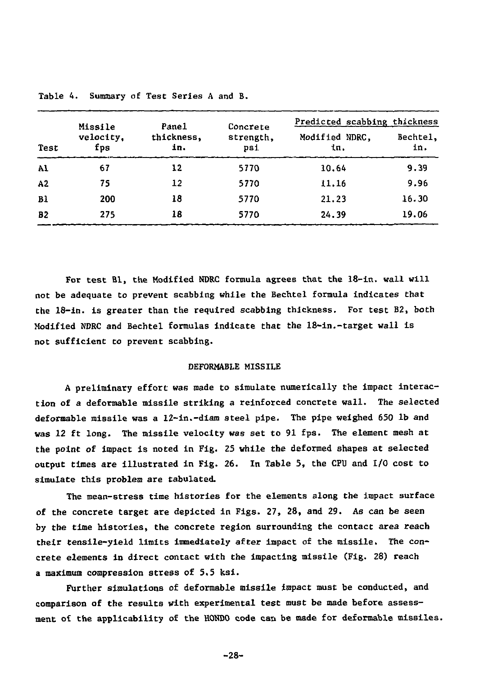| Test           | Missile<br>velocity.<br>fps | Pane1<br>thickness.<br>in. | Concrete<br>strength.<br>psi | Predicted scabbing thickness |                 |
|----------------|-----------------------------|----------------------------|------------------------------|------------------------------|-----------------|
|                |                             |                            |                              | Modified NDRC.<br>in.        | Bechtel.<br>in. |
| Al             | 67                          | 12                         | 5770                         | 10.64                        | 9.39            |
| A2             | 75                          | 12                         | 5770                         | 11.16                        | 9.96            |
| B <sub>1</sub> | 200                         | 18                         | 5770                         | 21.23                        | 16.30           |
| <b>B2</b>      | 275                         | 18                         | 5770                         | 24.39                        | 19.06           |

Table 4. Summary of Test Series A and B.

For test Bl, the Modified NDRC formula agrees that the 18-in. wall will not be adequate to prevent scabbing while the Bechtel formula indicates that the 18-in. is greater than the required scabbing thickness. For test B2, both Modified NDRC and Bechtel formulas indicate that the 18-in.-target wall is not sufficient to prevent scabbing.

#### DEFORMABLE MISSILE

A preliminary effort was made to simulate numerically the impact interaction of a deformable missile striking a reinforced concrete wall. The selected deformable missile was a 12-in.-diam steel pipe. The pipe weighed 650 lb and was 12 ft long. The missile velocity was set to 91 fps. The element mesh at the point of impact is noted in Fig. 25 while the deformed shapes at selected output times are illustrated in Fig. 26. In Table 5, the CPU and I/O cost to simulate this problem are tabulated.

The mean-stress time histories for the elements along the impact surface of the concrete target are depicted in Figs. 27, 28, and 29. As can be seen by the time histories, the concrete region surrounding the contact area reach their tensile-yield limits immediately after impact of the missile. The concrete elements in direct contact with the impacting missile (Fig. 28) reach a maximum compression stress of 5.5 ksi.

Further simulations of deformable missile impact must be conducted, and comparison of the results with experimental test must be made before assessment of the applicability of the HONDO code can be made for deformable missiles.

-28-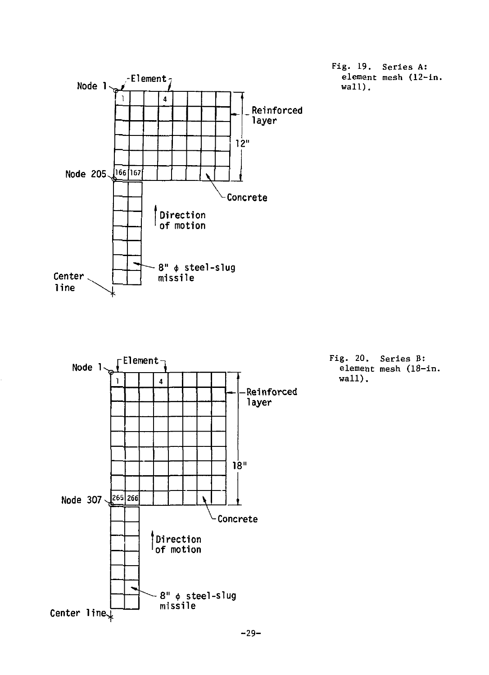

**-29-**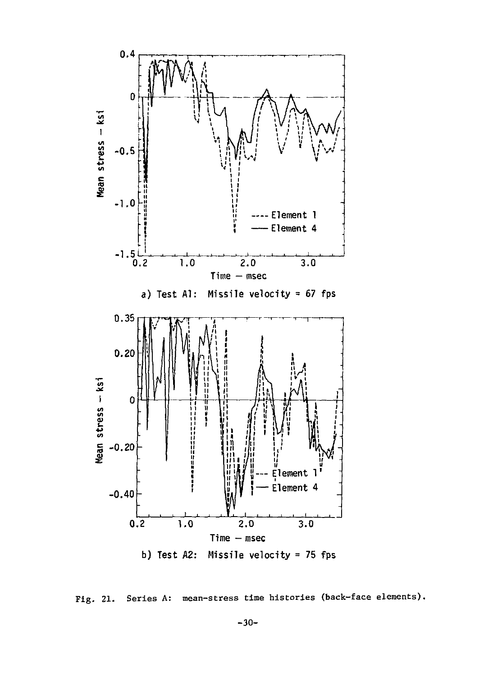

Fig. 21. Series A: mean-stress time histories (back-face elements).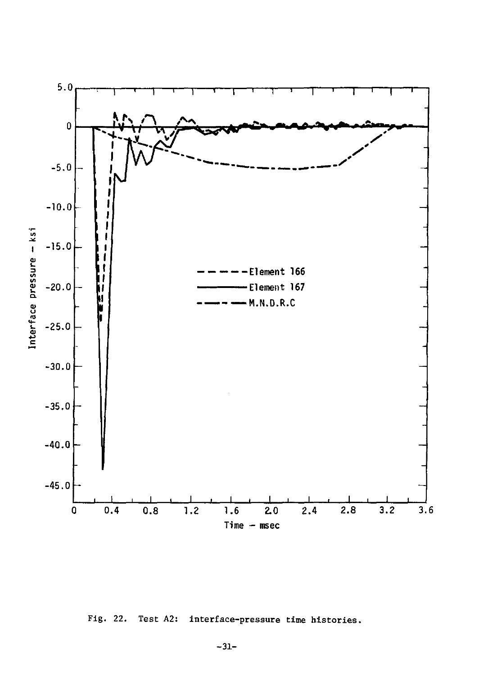

Fig. 22. Test A2: interface-pressure time histories.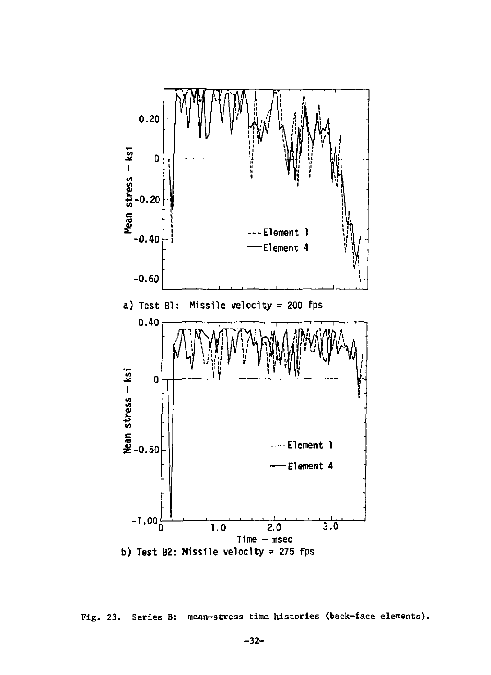

Fig. 23. Series B: mean-stress time histories (back-face elements).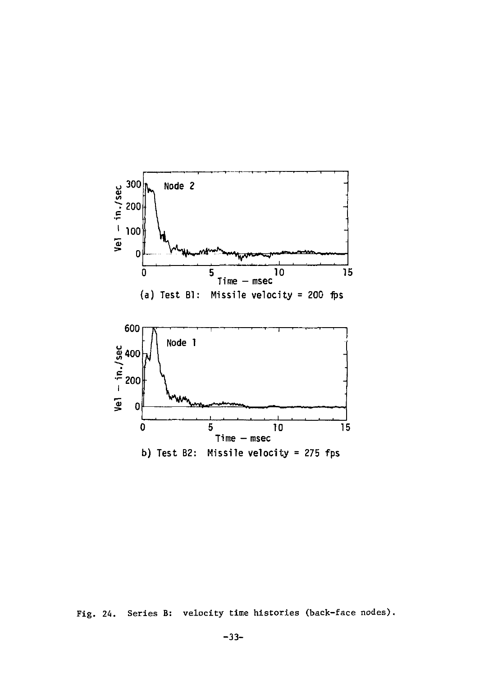

Fig. 24. Series B: velocity time histories (back-face nodes).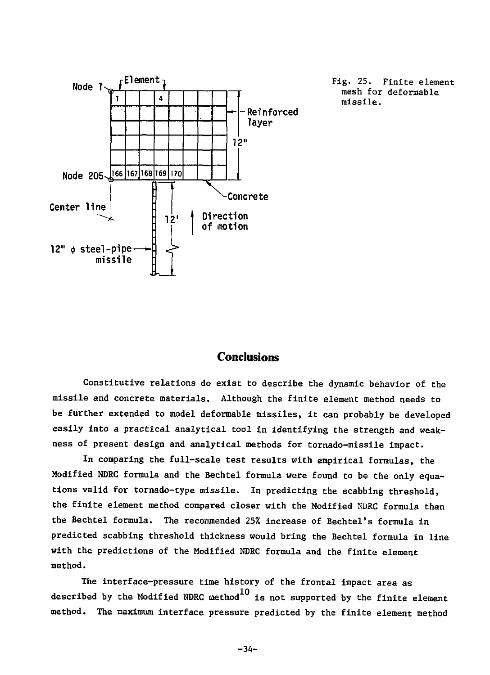

Fig. 25. Finite element mesh for deformable missile.

## **Conclusions**

Constitutive relations do exist to describe the dynamic behavior of the missile and concrete materials. Although the finite element method needs to be further extended to model deformable missiles, it can probably be developed easily into a practical analytical tool in identifying the strength and weakness of present design and analytical methods for tornado-missile impact.

In comparing the full-scale test results with empirical formulas, the Modified NDRC formula and the Bechtel formula were found to be the only equations valid for tornado-type missile. In predicting the scabbing threshold, the finite element method compared closer with the Modified NDRC formula than the Bechtel formula. The recommended 25% increase of Bechtel's formula in predicted scabbing threshold thickness would bring the Bechtel formula in line with the predictions of the Modified NDRC formula and the finite element method.

The interface-pressure time history of the frontal impact area as described by the Modified NDRC method  $^{10}$  is not supported by the finite element method. The maximum interface pressure predicted by the finite element method

-34-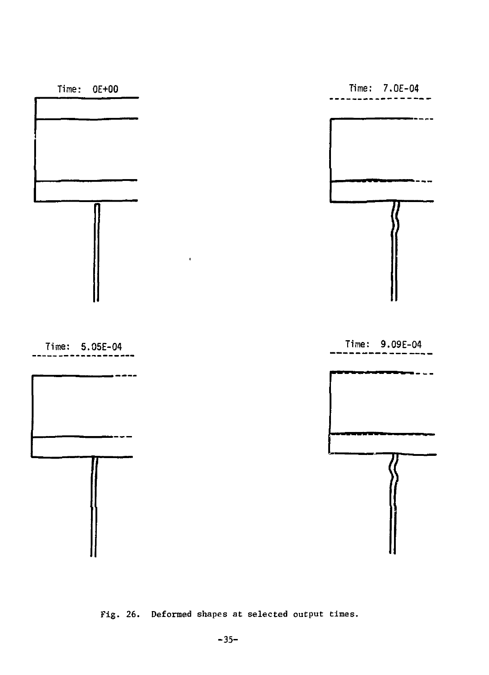

Fig. 26. Deformed shapes at selected output times.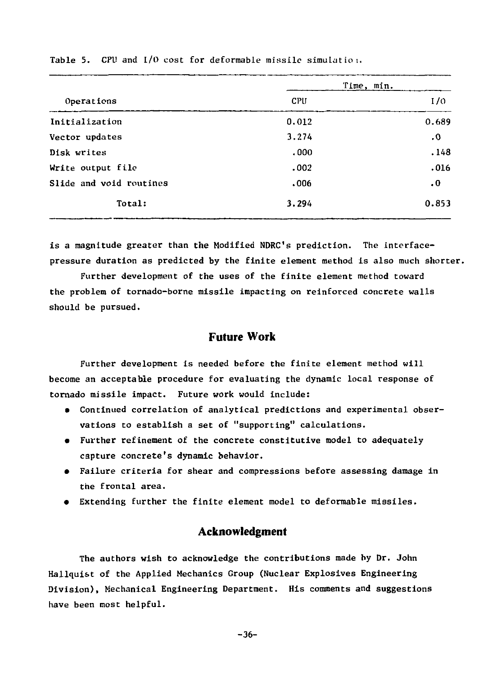|                         | Time, min. |                      |  |
|-------------------------|------------|----------------------|--|
| Operations              | CPU        | 1/0                  |  |
| Initialization          | 0.012      | 0.689                |  |
| Vector updates          | 3,274      | .0                   |  |
| Disk writes             | .000.      | .148                 |  |
| Write output file       | .002       | .016                 |  |
| Slide and void routines | .006       | $\cdot$ <sup>0</sup> |  |
| Total:                  | 3.294      | 0.853                |  |

Table 5. CPU and  $1/0$  cost for deformable missile simulation.

is a magnitude greater than the Modified NDRC's prediction. The interfacepressure duration as predicted by the finite element method is also much shorter.

Further development of the uses of the finite element method toward the problem of tornado-borne missile impacting on reinforced concrete walls should be pursued.

#### **Future Work**

Further development is needed before the finite element method will become an acceptable procedure for evaluating the dynamic local response of tornado missile impact. Future work would include:

- Continued correlation of analytical predictions and experimental observations to establish a set of "supporting" calculations.
- Further refinement of the concrete constitutive model to adequately capture concrete's dynamic behavior.
- Failure criteria for shear and compressions before assessing damage in the frontal area.
- Extending further the finite element model to deformable missiles.

## **Acknowledgment**

The authors wish to acknowledge the contributions made by Dr. John Hallquist of the Applied Mechanics Group (Nuclear Explosives Engineering Division), Mechanical Engineering Department. His comments and suggestions have been most helpful.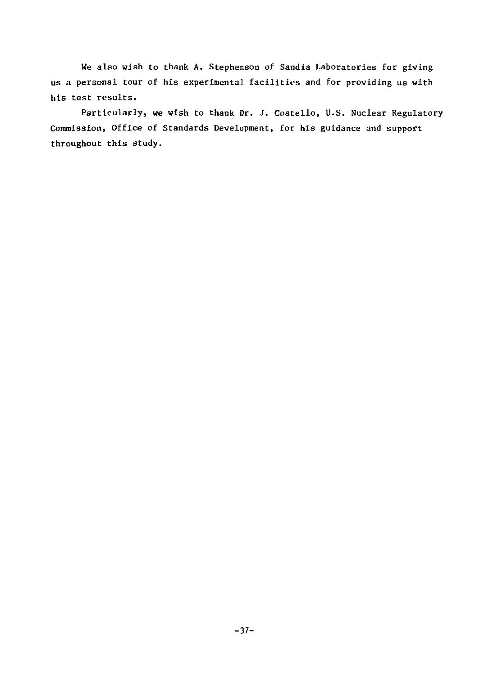We also wish to thank A. Stephenson of Sandia Laboratories for giving us a personal tour of his experimental facilities and for providing us with his test results.

Particularly, we wish to thank Dr. J. Costello, U.S. Nuclear Regulatory Commission, Office of Standards Development, for his guidance and support throughout this study.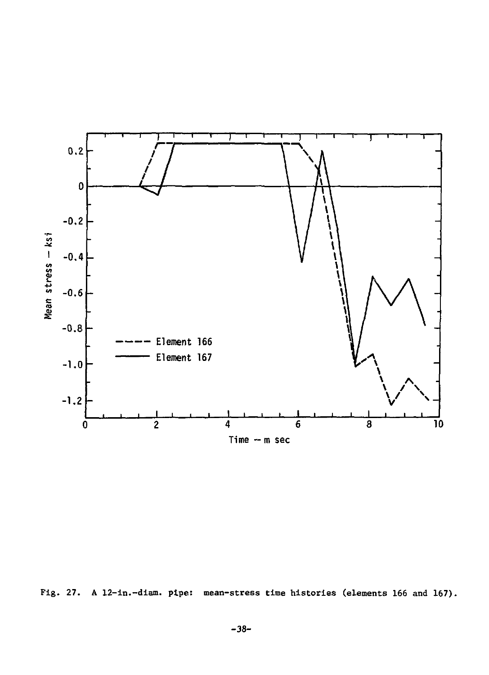

Fig. 27. A 12-in.-dlam. pipe: mean-stress time histories (elements 166 and 167).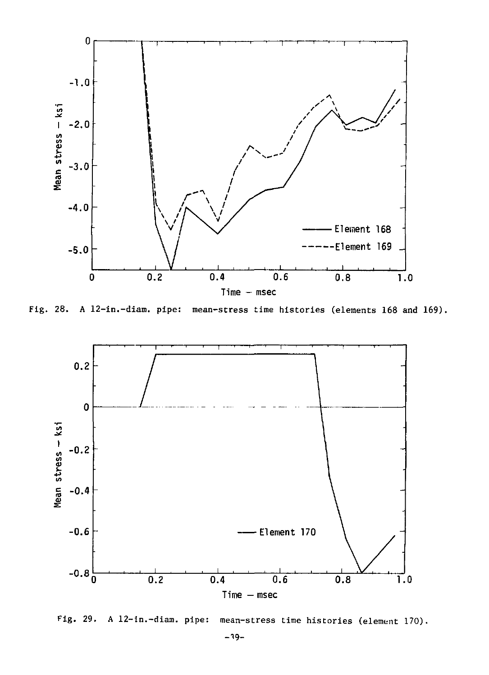

Fig. 28. A 12-in.-diam. pipe: mean-stress time histories (elements 168 and 169).



Fig. 29. A 12-in.-diam. pipe: mean-stress time histories (element 170).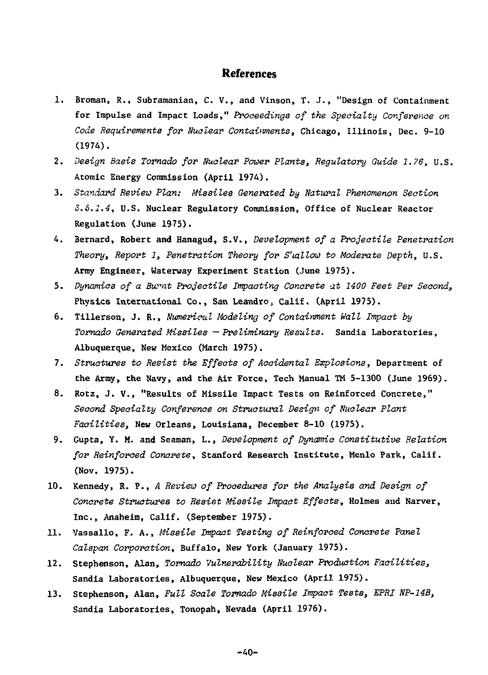### **References**

- 1. Broman, R., Subramanian, C. V., and Vinson, T. J., "Design of Containment for Impulse and Impact Loads," *Proceedings of the Specialty Conference on Code Requirements for Nuclear Containments,* Chicago, Illinois, Dec. 9-10 (1974).
- 2. *Design Basis Tornado for Nuclear Power Plants, Regulatory Guide 1.76,* U.S. Atomic Energy Commission (April 1974).
- 3. *Standard Review Plan: Missiles Generated by Natural Phenomenon Section S.S.I.4,* U.S. Nuclear Regulatory Commission, Office of Nuclear Reactor Regulation (June 1975).
- 4. Bernard, Robert and Hanagud, S.V., *Development of a Projectile Penetration Theory, Report 1, Penetration Theory for Shallow to Moderate Depth,* U.S. Army Engineer, Waterway Experiment Station (June 1975).
- 5. *Dynamics of a Burnt Projectile Impacting Concrete at 1400 Feet Per Second,*  Physics International Co., San Leandro, Calif. (April 1975).
- 6. Tillerson, J. R., *Numerical Modeling of Containment Wall Impact by Tornado Generated Missiles —Preliminary Results.* Sandia Laboratories, Albuquerque, New Mexico (March 1975).
- 7. *Structures to Resist the Effects of Accidental Explosions,* Department of the Army, the Navy, and the Air Force, Tech Manual TM 5-1300 (June 1969).
- 8. Rotz, J. V., "Results of Missile Impact Tests on Reinforced Concrete," *Second Specialty Conference on Structural Design of Nuclear Plant Facilities,* New Orleans, Louisiana, December 8-10 (1975).
- 9. Gupta, Y. M. and Seaman, L., *Development of Dynamic Constitutive Relation for Reinforced Concrete,* Stanford Research Institute, Menlo Park, Calif. (Nov. 1975).
- 10. Kennedy, R. P., *A Review of Procedures for the Analysis and Design of Concrete Structures to Resist Missile Impact Effects,* Holmes and Narver, Inc., Anaheim, Calif. (September 1975).
- 11. Vassallo, F. A., *Missile Impact Testing of Reinforced Concrete Panel Calspan Corporation,* Buffalo, New York (January 1975).
- 12. Stephenson, Alan, *Tornado Vulnerability Nuclear Production Facilities,*  Sandia Laboratories, Albuquerque, New Mexico (April 1975).
- 13. Stephenson, Alan, *Full Scale Tornado Missile Impact Tests, EPRI NP-14B,*  Sandia Laboratories, Tonopah, Nevada (April 1976).